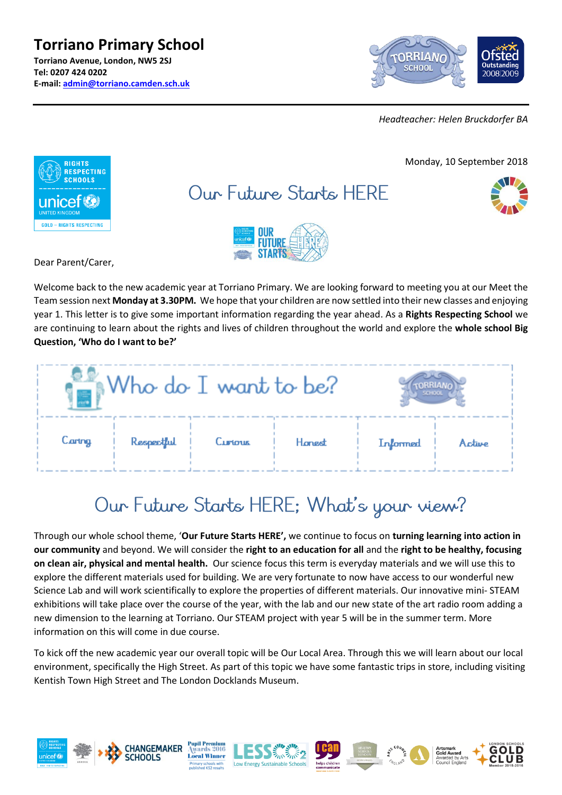**Torriano Primary School Torriano Avenue, London, NW5 2SJ Tel: 0207 424 0202 E-mail: [admin@torriano.camden.sch.uk](mailto:admin@torriano.camden.sch.uk)**



*Headteacher: Helen Bruckdorfer BA*



Dear Parent/Carer,

Welcome back to the new academic year at Torriano Primary. We are looking forward to meeting you at our Meet the Team session next **Monday at 3.30PM.** We hope that your children are now settled into their new classes and enjoying year 1. This letter is to give some important information regarding the year ahead. As a **Rights Respecting School** we are continuing to learn about the rights and lives of children throughout the world and explore the **whole school Big Question, 'Who do I want to be?'**

| Who do I want to be? |            |         |        |          |        |
|----------------------|------------|---------|--------|----------|--------|
| Caring               | Respectful | Curtous | Honest | Informed | Active |

# Our Future Starts HERE; What's your view?

Through our whole school theme, '**Our Future Starts HERE',** we continue to focus on **turning learning into action in our community** and beyond. We will consider the **right to an education for all** and the **right to be healthy, focusing on clean air, physical and mental health.** Our science focus this term is everyday materials and we will use this to explore the different materials used for building. We are very fortunate to now have access to our wonderful new Science Lab and will work scientifically to explore the properties of different materials. Our innovative mini- STEAM exhibitions will take place over the course of the year, with the lab and our new state of the art radio room adding a new dimension to the learning at Torriano. Our STEAM project with year 5 will be in the summer term. More information on this will come in due course.

To kick off the new academic year our overall topic will be Our Local Area. Through this we will learn about our local environment, specifically the High Street. As part of this topic we have some fantastic trips in store, including visiting Kentish Town High Street and The London Docklands Museum.

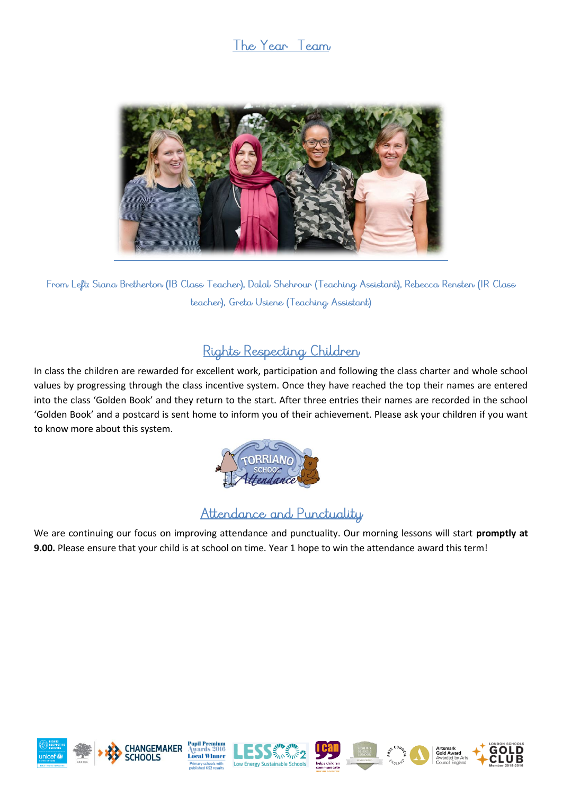### The Year Team



From Left: Siana Bretherton (IB Class Teacher), Dalal Shehrour (Teaching Assistant), Rebecca Rensten (IR Class teacher), Greta Usiene (Teaching Assistant)

# Rights Respecting Children

In class the children are rewarded for excellent work, participation and following the class charter and whole school values by progressing through the class incentive system. Once they have reached the top their names are entered into the class 'Golden Book' and they return to the start. After three entries their names are recorded in the school 'Golden Book' and a postcard is sent home to inform you of their achievement. Please ask your children if you want to know more about this system.



## Attendance and Punctuality

We are continuing our focus on improving attendance and punctuality. Our morning lessons will start **promptly at 9.00.** Please ensure that your child is at school on time. Year 1 hope to win the attendance award this term!













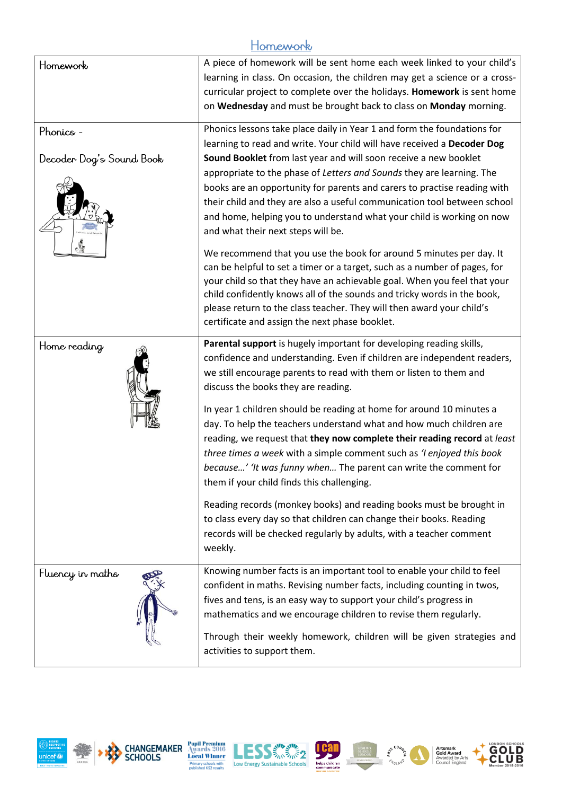#### Homework

| Homework                              | A piece of homework will be sent home each week linked to your child's<br>learning in class. On occasion, the children may get a science or a cross-<br>curricular project to complete over the holidays. Homework is sent home<br>on Wednesday and must be brought back to class on Monday morning.                                                                                                                                                                                                                                                                   |  |  |
|---------------------------------------|------------------------------------------------------------------------------------------------------------------------------------------------------------------------------------------------------------------------------------------------------------------------------------------------------------------------------------------------------------------------------------------------------------------------------------------------------------------------------------------------------------------------------------------------------------------------|--|--|
| Phonics -<br>Decoder Dog's Sound Book | Phonics lessons take place daily in Year 1 and form the foundations for<br>learning to read and write. Your child will have received a Decoder Dog<br>Sound Booklet from last year and will soon receive a new booklet<br>appropriate to the phase of Letters and Sounds they are learning. The<br>books are an opportunity for parents and carers to practise reading with<br>their child and they are also a useful communication tool between school<br>and home, helping you to understand what your child is working on now<br>and what their next steps will be. |  |  |
|                                       | We recommend that you use the book for around 5 minutes per day. It<br>can be helpful to set a timer or a target, such as a number of pages, for<br>your child so that they have an achievable goal. When you feel that your<br>child confidently knows all of the sounds and tricky words in the book,<br>please return to the class teacher. They will then award your child's<br>certificate and assign the next phase booklet.                                                                                                                                     |  |  |
| Home reading                          | Parental support is hugely important for developing reading skills,<br>confidence and understanding. Even if children are independent readers,<br>we still encourage parents to read with them or listen to them and<br>discuss the books they are reading.                                                                                                                                                                                                                                                                                                            |  |  |
|                                       | In year 1 children should be reading at home for around 10 minutes a<br>day. To help the teachers understand what and how much children are<br>reading, we request that they now complete their reading record at least<br>three times a week with a simple comment such as 'I enjoyed this book<br>because' 'It was funny when The parent can write the comment for<br>them if your child finds this challenging.                                                                                                                                                     |  |  |
|                                       | Reading records (monkey books) and reading books must be brought in<br>to class every day so that children can change their books. Reading<br>records will be checked regularly by adults, with a teacher comment<br>weekly.                                                                                                                                                                                                                                                                                                                                           |  |  |
| Fluency in maths                      | Knowing number facts is an important tool to enable your child to feel<br>confident in maths. Revising number facts, including counting in twos,<br>fives and tens, is an easy way to support your child's progress in<br>mathematics and we encourage children to revise them regularly.                                                                                                                                                                                                                                                                              |  |  |
|                                       | Through their weekly homework, children will be given strategies and<br>activities to support them.                                                                                                                                                                                                                                                                                                                                                                                                                                                                    |  |  |











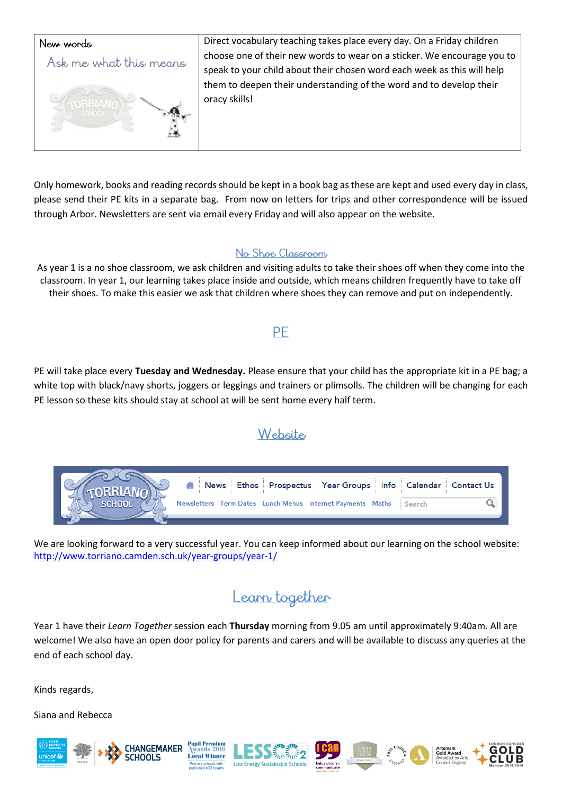

Only homework, books and reading records should be kept in a book bag as these are kept and used every day in class, please send their PE kits in a separate bag. From now on letters for trips and other correspondence will be issued through Arbor. Newsletters are sent via email every Friday and will also appear on the website.

#### No Shoe Classroom

As year 1 is a no shoe classroom, we ask children and visiting adults to take their shoes off when they come into the classroom. In year 1, our learning takes place inside and outside, which means children frequently have to take off their shoes. To make this easier we ask that children where shoes they can remove and put on independently.

#### PE

PE will take place every **Tuesday and Wednesday.** Please ensure that your child has the appropriate kit in a PE bag; a white top with black/navy shorts, joggers or leggings and trainers or plimsolls. The children will be changing for each PE lesson so these kits should stay at school at will be sent home every half term.

### Website

| A News Ethos Prospectus Year Groups Info Calendar Contact Us |  |
|--------------------------------------------------------------|--|
| Newsletters Term Dates Lunch Menus Internet Payments Maths   |  |

We are looking forward to a very successful year. You can keep informed about our learning on the school website: <http://www.torriano.camden.sch.uk/year-groups/year-1/>

# Learn together

Year 1 have their *Learn Together* session each **Thursday** morning from 9.05 am until approximately 9:40am. All are welcome! We also have an open door policy for parents and carers and will be available to discuss any queries at the end of each school day.

Kinds regards,

Siana and Rebecca





is 2016